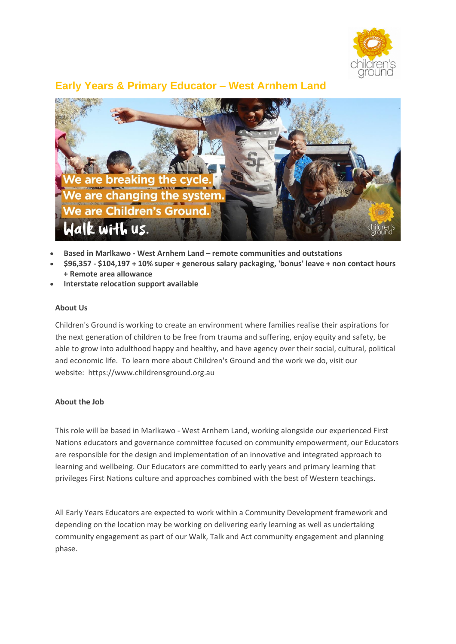

# **Early Years & Primary Educator – West Arnhem Land**



- **Based in Marlkawo - West Arnhem Land – remote communities and outstations**
- **\$96,357 - \$104,197 + 10% super + generous salary packaging, 'bonus' leave + non contact hours + Remote area allowance**
- **Interstate relocation support available**

#### **About Us**

Children's Ground is working to create an environment where families realise their aspirations for the next generation of children to be free from trauma and suffering, enjoy equity and safety, be able to grow into adulthood happy and healthy, and have agency over their social, cultural, political and economic life. To learn more about Children's Ground and the work we do, visit our website: https://www.childrensground.org.au

#### **About the Job**

This role will be based in Marlkawo - West Arnhem Land, working alongside our experienced First Nations educators and governance committee focused on community empowerment, our Educators are responsible for the design and implementation of an innovative and integrated approach to learning and wellbeing. Our Educators are committed to early years and primary learning that privileges First Nations culture and approaches combined with the best of Western teachings.

All Early Years Educators are expected to work within a Community Development framework and depending on the location may be working on delivering early learning as well as undertaking community engagement as part of our Walk, Talk and Act community engagement and planning phase.